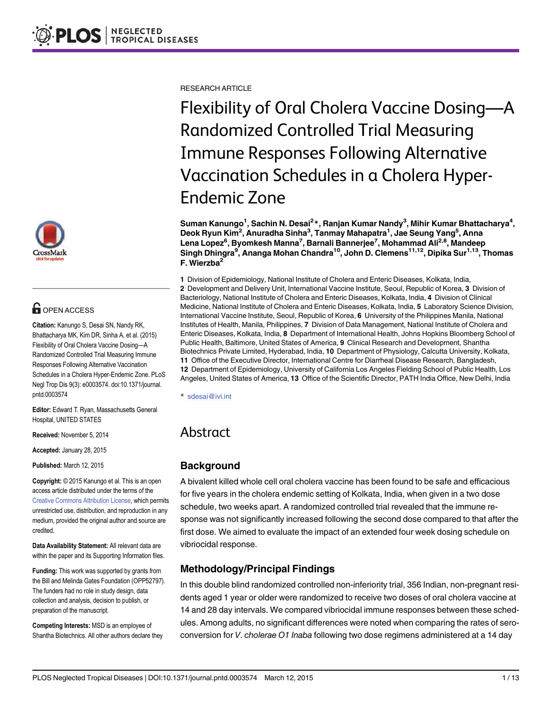

# **G** OPEN ACCESS

Citation: Kanungo S, Desai SN, Nandy RK, Bhattacharya MK, Kim DR, Sinha A, et al. (2015) Flexibility of Oral Cholera Vaccine Dosing—A Randomized Controlled Trial Measuring Immune Responses Following Alternative Vaccination Schedules in a Cholera Hyper-Endemic Zone. PLoS Negl Trop Dis 9(3): e0003574. doi:10.1371/journal. pntd.0003574

Editor: Edward T. Ryan, Massachusetts General Hospital, UNITED STATES

Received: November 5, 2014

Accepted: January 28, 2015

Published: March 12, 2015

Copyright: © 2015 Kanungo et al. This is an open access article distributed under the terms of the [Creative Commons Attribution License,](http://creativecommons.org/licenses/by/4.0/) which permits unrestricted use, distribution, and reproduction in any medium, provided the original author and source are credited.

Data Availability Statement: All relevant data are within the paper and its Supporting Information files.

Funding: This work was supported by grants from the Bill and Melinda Gates Foundation (OPP52797). The funders had no role in study design, data collection and analysis, decision to publish, or preparation of the manuscript.

Competing Interests: MSD is an employee of Shantha Biotechnics. All other authors declare they RESEARCH ARTICLE

Flexibility of Oral Cholera Vaccine Dosing—A Randomized Controlled Trial Measuring Immune Responses Following Alternative Vaccination Schedules in a Cholera Hyper-Endemic Zone

Suman Kanungo<sup>1</sup>, Sachin N. Desai<sup>2</sup>\*, Ranjan Kumar Nandy<sup>3</sup>, Mihir Kumar Bhattacharya<sup>4</sup>, Deok Ryun Kim<sup>2</sup>, Anuradha Sinha<sup>3</sup>, Tanmay Mahapatra<sup>1</sup>, Jae Seung Yang<sup>5</sup>, Anna Lena Lopez<sup>6</sup>, Byomkesh Manna<sup>7</sup>, Barnali Bannerjee<sup>7</sup>, Mohammad Ali<sup>2,8</sup>, Mandeep Singh Dhingra<sup>9</sup>, Ananga Mohan Chandra<sup>10</sup>, John D. Clemens<sup>11,12</sup>, Dipika Sur<sup>1,13</sup>, Thomas F. Wierzba<sup>2</sup>

1 Division of Epidemiology, National Institute of Cholera and Enteric Diseases, Kolkata, India, 2 Development and Delivery Unit, International Vaccine Institute, Seoul, Republic of Korea, 3 Division of Bacteriology, National Institute of Cholera and Enteric Diseases, Kolkata, India, 4 Division of Clinical Medicine, National Institute of Cholera and Enteric Diseases, Kolkata, India, 5 Laboratory Science Division, International Vaccine Institute, Seoul, Republic of Korea, 6 University of the Philippines Manila, National Institutes of Health, Manila, Philippines, 7 Division of Data Management, National Institute of Cholera and Enteric Diseases, Kolkata, India, 8 Department of International Health, Johns Hopkins Bloomberg School of Public Health, Baltimore, United States of America, 9 Clinical Research and Development, Shantha Biotechnics Private Limited, Hyderabad, India, 10 Department of Physiology, Calcutta University, Kolkata, 11 Office of the Executive Director, International Centre for Diarrheal Disease Research, Bangladesh, 12 Department of Epidemiology, University of California Los Angeles Fielding School of Public Health, Los Angeles, United States of America, 13 Office of the Scientific Director, PATH India Office, New Delhi, India

\* sdesai@ivi.int

# Abstract

# **Background**

A bivalent killed whole cell oral cholera vaccine has been found to be safe and efficacious for five years in the cholera endemic setting of Kolkata, India, when given in a two dose schedule, two weeks apart. A randomized controlled trial revealed that the immune response was not significantly increased following the second dose compared to that after the first dose. We aimed to evaluate the impact of an extended four week dosing schedule on vibriocidal response.

# Methodology/Principal Findings

In this double blind randomized controlled non-inferiority trial, 356 Indian, non-pregnant residents aged 1 year or older were randomized to receive two doses of oral cholera vaccine at 14 and 28 day intervals. We compared vibriocidal immune responses between these schedules. Among adults, no significant differences were noted when comparing the rates of seroconversion for V. cholerae O1 Inaba following two dose regimens administered at a 14 day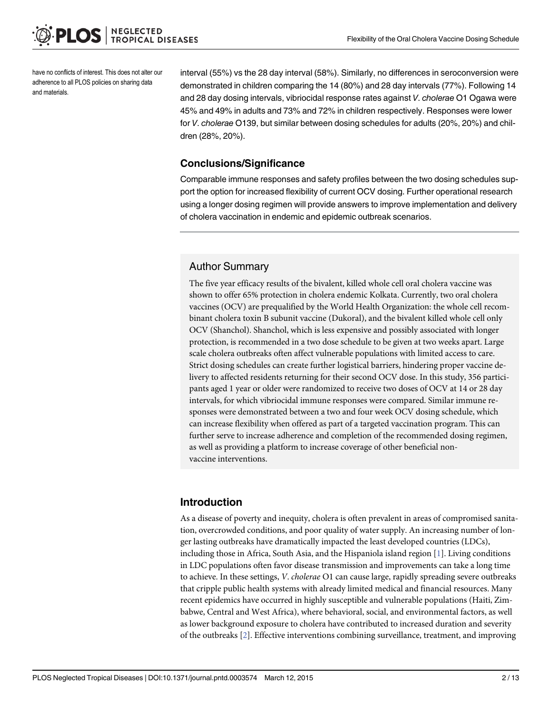<span id="page-1-0"></span>have no conflicts of interest. This does not alter our adherence to all PLOS policies on sharing data and materials.

interval (55%) vs the 28 day interval (58%). Similarly, no differences in seroconversion were demonstrated in children comparing the 14 (80%) and 28 day intervals (77%). Following 14 and 28 day dosing intervals, vibriocidal response rates against V. cholerae O1 Ogawa were 45% and 49% in adults and 73% and 72% in children respectively. Responses were lower for V. cholerae O139, but similar between dosing schedules for adults (20%, 20%) and children (28%, 20%).

### Conclusions/Significance

Comparable immune responses and safety profiles between the two dosing schedules support the option for increased flexibility of current OCV dosing. Further operational research using a longer dosing regimen will provide answers to improve implementation and delivery of cholera vaccination in endemic and epidemic outbreak scenarios.

### Author Summary

The five year efficacy results of the bivalent, killed whole cell oral cholera vaccine was shown to offer 65% protection in cholera endemic Kolkata. Currently, two oral cholera vaccines (OCV) are prequalified by the World Health Organization: the whole cell recombinant cholera toxin B subunit vaccine (Dukoral), and the bivalent killed whole cell only OCV (Shanchol). Shanchol, which is less expensive and possibly associated with longer protection, is recommended in a two dose schedule to be given at two weeks apart. Large scale cholera outbreaks often affect vulnerable populations with limited access to care. Strict dosing schedules can create further logistical barriers, hindering proper vaccine delivery to affected residents returning for their second OCV dose. In this study, 356 participants aged 1 year or older were randomized to receive two doses of OCV at 14 or 28 day intervals, for which vibriocidal immune responses were compared. Similar immune responses were demonstrated between a two and four week OCV dosing schedule, which can increase flexibility when offered as part of a targeted vaccination program. This can further serve to increase adherence and completion of the recommended dosing regimen, as well as providing a platform to increase coverage of other beneficial nonvaccine interventions.

# Introduction

As a disease of poverty and inequity, cholera is often prevalent in areas of compromised sanitation, overcrowded conditions, and poor quality of water supply. An increasing number of longer lasting outbreaks have dramatically impacted the least developed countries (LDCs), including those in Africa, South Asia, and the Hispaniola island region [\[1](#page-11-0)]. Living conditions in LDC populations often favor disease transmission and improvements can take a long time to achieve. In these settings, V. cholerae O1 can cause large, rapidly spreading severe outbreaks that cripple public health systems with already limited medical and financial resources. Many recent epidemics have occurred in highly susceptible and vulnerable populations (Haiti, Zimbabwe, Central and West Africa), where behavioral, social, and environmental factors, as well as lower background exposure to cholera have contributed to increased duration and severity of the outbreaks [\[2](#page-11-0)]. Effective interventions combining surveillance, treatment, and improving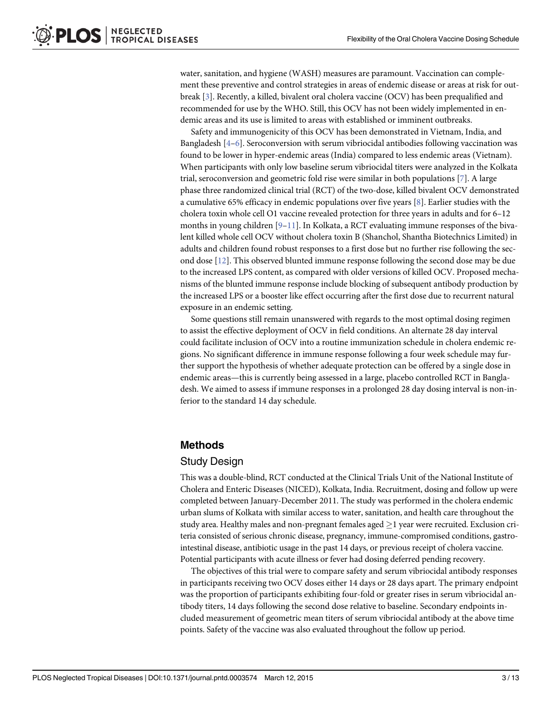<span id="page-2-0"></span>water, sanitation, and hygiene (WASH) measures are paramount. Vaccination can complement these preventive and control strategies in areas of endemic disease or areas at risk for outbreak [[3\]](#page-11-0). Recently, a killed, bivalent oral cholera vaccine (OCV) has been prequalified and recommended for use by the WHO. Still, this OCV has not been widely implemented in endemic areas and its use is limited to areas with established or imminent outbreaks.

Safety and immunogenicity of this OCV has been demonstrated in Vietnam, India, and Bangladesh  $[4-6]$  $[4-6]$  $[4-6]$ . Seroconversion with serum vibriocidal antibodies following vaccination was found to be lower in hyper-endemic areas (India) compared to less endemic areas (Vietnam). When participants with only low baseline serum vibriocidal titers were analyzed in the Kolkata trial, seroconversion and geometric fold rise were similar in both populations [\[7](#page-11-0)]. A large phase three randomized clinical trial (RCT) of the two-dose, killed bivalent OCV demonstrated a cumulative 65% efficacy in endemic populations over five years  $[8]$ . Earlier studies with the cholera toxin whole cell O1 vaccine revealed protection for three years in adults and for 6–12 months in young children [[9](#page-11-0)–[11](#page-11-0)]. In Kolkata, a RCT evaluating immune responses of the bivalent killed whole cell OCV without cholera toxin B (Shanchol, Shantha Biotechnics Limited) in adults and children found robust responses to a first dose but no further rise following the second dose [[12](#page-11-0)]. This observed blunted immune response following the second dose may be due to the increased LPS content, as compared with older versions of killed OCV. Proposed mechanisms of the blunted immune response include blocking of subsequent antibody production by the increased LPS or a booster like effect occurring after the first dose due to recurrent natural exposure in an endemic setting.

Some questions still remain unanswered with regards to the most optimal dosing regimen to assist the effective deployment of OCV in field conditions. An alternate 28 day interval could facilitate inclusion of OCV into a routine immunization schedule in cholera endemic regions. No significant difference in immune response following a four week schedule may further support the hypothesis of whether adequate protection can be offered by a single dose in endemic areas—this is currently being assessed in a large, placebo controlled RCT in Bangladesh. We aimed to assess if immune responses in a prolonged 28 day dosing interval is non-inferior to the standard 14 day schedule.

# Methods

### Study Design

This was a double-blind, RCT conducted at the Clinical Trials Unit of the National Institute of Cholera and Enteric Diseases (NICED), Kolkata, India. Recruitment, dosing and follow up were completed between January-December 2011. The study was performed in the cholera endemic urban slums of Kolkata with similar access to water, sanitation, and health care throughout the study area. Healthy males and non-pregnant females aged  $\geq$  1 year were recruited. Exclusion criteria consisted of serious chronic disease, pregnancy, immune-compromised conditions, gastrointestinal disease, antibiotic usage in the past 14 days, or previous receipt of cholera vaccine. Potential participants with acute illness or fever had dosing deferred pending recovery.

The objectives of this trial were to compare safety and serum vibriocidal antibody responses in participants receiving two OCV doses either 14 days or 28 days apart. The primary endpoint was the proportion of participants exhibiting four-fold or greater rises in serum vibriocidal antibody titers, 14 days following the second dose relative to baseline. Secondary endpoints included measurement of geometric mean titers of serum vibriocidal antibody at the above time points. Safety of the vaccine was also evaluated throughout the follow up period.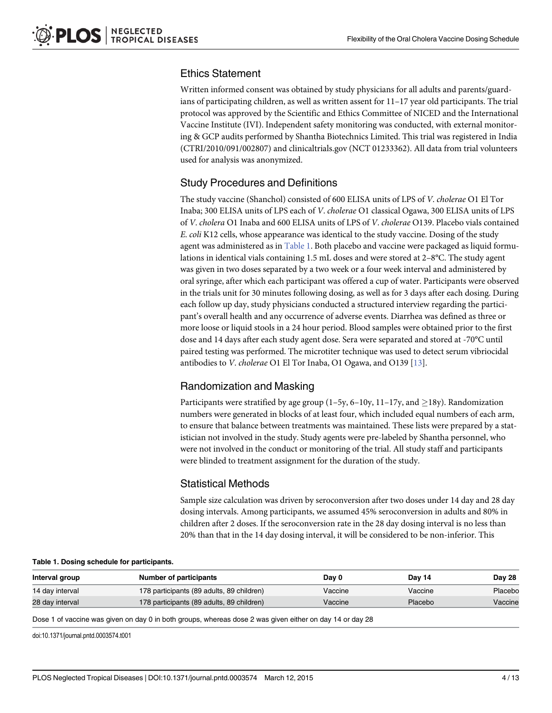# <span id="page-3-0"></span>Ethics Statement

Written informed consent was obtained by study physicians for all adults and parents/guardians of participating children, as well as written assent for 11–17 year old participants. The trial protocol was approved by the Scientific and Ethics Committee of NICED and the International Vaccine Institute (IVI). Independent safety monitoring was conducted, with external monitoring & GCP audits performed by Shantha Biotechnics Limited. This trial was registered in India (CTRI/2010/091/002807) and clinicaltrials.gov (NCT 01233362). All data from trial volunteers used for analysis was anonymized.

# Study Procedures and Definitions

The study vaccine (Shanchol) consisted of 600 ELISA units of LPS of V. cholerae O1 El Tor Inaba; 300 ELISA units of LPS each of V. cholerae O1 classical Ogawa, 300 ELISA units of LPS of V. cholera O1 Inaba and 600 ELISA units of LPS of V. cholerae O139. Placebo vials contained E. coli K12 cells, whose appearance was identical to the study vaccine. Dosing of the study agent was administered as in Table 1. Both placebo and vaccine were packaged as liquid formulations in identical vials containing 1.5 mL doses and were stored at 2–8°C. The study agent was given in two doses separated by a two week or a four week interval and administered by oral syringe, after which each participant was offered a cup of water. Participants were observed in the trials unit for 30 minutes following dosing, as well as for 3 days after each dosing. During each follow up day, study physicians conducted a structured interview regarding the participant's overall health and any occurrence of adverse events. Diarrhea was defined as three or more loose or liquid stools in a 24 hour period. Blood samples were obtained prior to the first dose and 14 days after each study agent dose. Sera were separated and stored at -70°C until paired testing was performed. The microtiter technique was used to detect serum vibriocidal antibodies to V. cholerae O1 El Tor Inaba, O1 Ogawa, and O139 [[13](#page-11-0)].

# Randomization and Masking

Participants were stratified by age group  $(1-5y, 6-10y, 11-17y, and \ge 18y)$ . Randomization numbers were generated in blocks of at least four, which included equal numbers of each arm, to ensure that balance between treatments was maintained. These lists were prepared by a statistician not involved in the study. Study agents were pre-labeled by Shantha personnel, who were not involved in the conduct or monitoring of the trial. All study staff and participants were blinded to treatment assignment for the duration of the study.

# Statistical Methods

Sample size calculation was driven by seroconversion after two doses under 14 day and 28 day dosing intervals. Among participants, we assumed 45% seroconversion in adults and 80% in children after 2 doses. If the seroconversion rate in the 28 day dosing interval is no less than 20% than that in the 14 day dosing interval, it will be considered to be non-inferior. This

|  |  |  | Table 1. Dosing schedule for participants. |  |
|--|--|--|--------------------------------------------|--|
|--|--|--|--------------------------------------------|--|

| Interval group  | Number of participants                    | Day 0   | Day 14  | Day 28  |
|-----------------|-------------------------------------------|---------|---------|---------|
| 14 day interval | 178 participants (89 adults, 89 children) | Vaccine | Vaccine | Placebo |
| 28 day interval | 178 participants (89 adults, 89 children) | Vaccine | Placebo | Vaccine |

Dose 1 of vaccine was given on day 0 in both groups, whereas dose 2 was given either on day 14 or day 28

doi:10.1371/journal.pntd.0003574.t001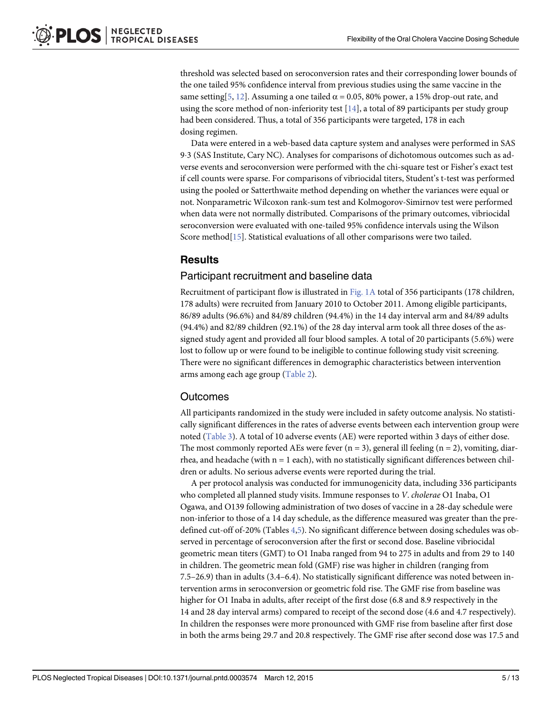<span id="page-4-0"></span>threshold was selected based on seroconversion rates and their corresponding lower bounds of the one tailed 95% confidence interval from previous studies using the same vaccine in the same setting [\[5](#page-11-0), [12](#page-11-0)]. Assuming a one tailed  $\alpha$  = 0.05, 80% power, a 15% drop-out rate, and using the score method of non-inferiority test  $[14]$  $[14]$  $[14]$ , a total of 89 participants per study group had been considered. Thus, a total of 356 participants were targeted, 178 in each dosing regimen.

Data were entered in a web-based data capture system and analyses were performed in SAS 93 (SAS Institute, Cary NC). Analyses for comparisons of dichotomous outcomes such as adverse events and seroconversion were performed with the chi-square test or Fisher's exact test if cell counts were sparse. For comparisons of vibriocidal titers, Student's t-test was performed using the pooled or Satterthwaite method depending on whether the variances were equal or not. Nonparametric Wilcoxon rank-sum test and Kolmogorov-Simirnov test were performed when data were not normally distributed. Comparisons of the primary outcomes, vibriocidal seroconversion were evaluated with one-tailed 95% confidence intervals using the Wilson Score method<sup>[\[15\]](#page-12-0)</sup>. Statistical evaluations of all other comparisons were two tailed.

# **Results**

### Participant recruitment and baseline data

Recruitment of participant flow is illustrated in [Fig. 1A](#page-5-0) total of 356 participants (178 children, 178 adults) were recruited from January 2010 to October 2011. Among eligible participants, 86/89 adults (96.6%) and 84/89 children (94.4%) in the 14 day interval arm and 84/89 adults (94.4%) and 82/89 children (92.1%) of the 28 day interval arm took all three doses of the assigned study agent and provided all four blood samples. A total of 20 participants (5.6%) were lost to follow up or were found to be ineligible to continue following study visit screening. There were no significant differences in demographic characteristics between intervention arms among each age group ([Table 2\)](#page-6-0).

# **Outcomes**

All participants randomized in the study were included in safety outcome analysis. No statistically significant differences in the rates of adverse events between each intervention group were noted [\(Table 3\)](#page-6-0). A total of 10 adverse events (AE) were reported within 3 days of either dose. The most commonly reported AEs were fever  $(n = 3)$ , general ill feeling  $(n = 2)$ , vomiting, diarrhea, and headache (with  $n = 1$  each), with no statistically significant differences between children or adults. No serious adverse events were reported during the trial.

A per protocol analysis was conducted for immunogenicity data, including 336 participants who completed all planned study visits. Immune responses to V. cholerae O1 Inaba, O1 Ogawa, and O139 following administration of two doses of vaccine in a 28-day schedule were non-inferior to those of a 14 day schedule, as the difference measured was greater than the predefined cut-off of-20% (Tables [4,](#page-7-0)[5\)](#page-8-0). No significant difference between dosing schedules was observed in percentage of seroconversion after the first or second dose. Baseline vibriocidal geometric mean titers (GMT) to O1 Inaba ranged from 94 to 275 in adults and from 29 to 140 in children. The geometric mean fold (GMF) rise was higher in children (ranging from 7.5–26.9) than in adults (3.4–6.4). No statistically significant difference was noted between intervention arms in seroconversion or geometric fold rise. The GMF rise from baseline was higher for O1 Inaba in adults, after receipt of the first dose (6.8 and 8.9 respectively in the 14 and 28 day interval arms) compared to receipt of the second dose (4.6 and 4.7 respectively). In children the responses were more pronounced with GMF rise from baseline after first dose in both the arms being 29.7 and 20.8 respectively. The GMF rise after second dose was 17.5 and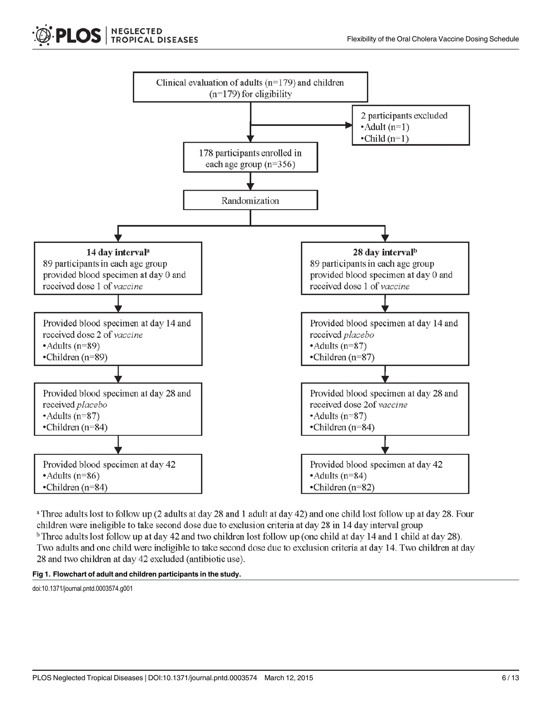

<span id="page-5-0"></span>

<sup>a</sup> Three adults lost to follow up (2 adults at day 28 and 1 adult at day 42) and one child lost follow up at day 28. Four children were ineligible to take second dose due to exclusion criteria at day 28 in 14 day interval group <sup>b</sup> Three adults lost follow up at day 42 and two children lost follow up (one child at day 14 and 1 child at day 28). Two adults and one child were ineligible to take second dose due to exclusion criteria at day 14. Two children at day 28 and two children at day 42 excluded (antibiotic use).



doi:10.1371/journal.pntd.0003574.g001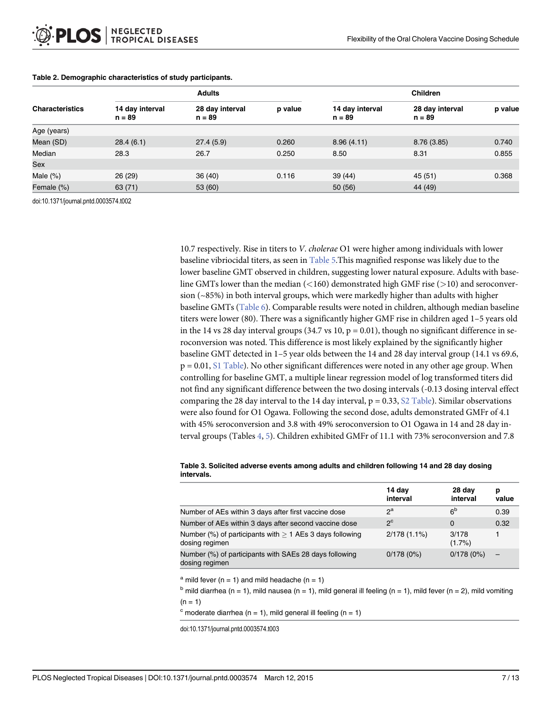|                        |                             | <b>Adults</b>               |         | <b>Children</b>             |                             |         |  |  |
|------------------------|-----------------------------|-----------------------------|---------|-----------------------------|-----------------------------|---------|--|--|
| <b>Characteristics</b> | 14 day interval<br>$n = 89$ | 28 day interval<br>$n = 89$ | p value | 14 day interval<br>$n = 89$ | 28 day interval<br>$n = 89$ | p value |  |  |
| Age (years)            |                             |                             |         |                             |                             |         |  |  |
| Mean (SD)              | 28.4(6.1)                   | 27.4(5.9)                   | 0.260   | 8.96(4.11)                  | 8.76(3.85)                  | 0.740   |  |  |
| Median                 | 28.3                        | 26.7                        | 0.250   | 8.50                        | 8.31                        | 0.855   |  |  |
| Sex                    |                             |                             |         |                             |                             |         |  |  |
| Male $(\%)$            | 26(29)                      | 36(40)                      | 0.116   | 39(44)                      | 45 (51)                     | 0.368   |  |  |
| Female (%)             | 63(71)                      | 53 (60)                     |         | 50 (56)                     | 44 (49)                     |         |  |  |

#### <span id="page-6-0"></span>[Table 2.](#page-4-0) Demographic characteristics of study participants.

doi:10.1371/journal.pntd.0003574.t002

10.7 respectively. Rise in titers to V. cholerae O1 were higher among individuals with lower baseline vibriocidal titers, as seen in [Table 5](#page-8-0).This magnified response was likely due to the lower baseline GMT observed in children, suggesting lower natural exposure. Adults with baseline GMTs lower than the median  $\left($  < 160) demonstrated high GMF rise ( $>$ 10) and seroconversion (~85%) in both interval groups, which were markedly higher than adults with higher baseline GMTs [\(Table 6](#page-9-0)). Comparable results were noted in children, although median baseline titers were lower (80). There was a significantly higher GMF rise in children aged 1–5 years old in the 14 vs 28 day interval groups (34.7 vs 10,  $p = 0.01$ ), though no significant difference in seroconversion was noted. This difference is most likely explained by the significantly higher baseline GMT detected in 1–5 year olds between the 14 and 28 day interval group (14.1 vs 69.6, p = 0.01, [S1 Table](#page-11-0)). No other significant differences were noted in any other age group. When controlling for baseline GMT, a multiple linear regression model of log transformed titers did not find any significant difference between the two dosing intervals (-0.13 dosing interval effect comparing the 28 day interval to the 14 day interval,  $p = 0.33$ ,  $S2$  Table). Similar observations were also found for O1 Ogawa. Following the second dose, adults demonstrated GMFr of 4.1 with 45% seroconversion and 3.8 with 49% seroconversion to O1 Ogawa in 14 and 28 day interval groups (Tables  $\underline{4}, \underline{5}$  $\underline{4}, \underline{5}$  $\underline{4}, \underline{5}$ ). Children exhibited GMFr of 11.1 with 73% seroconversion and 7.8

#### [Table 3.](#page-4-0) Solicited adverse events among adults and children following 14 and 28 day dosing intervals.

|                                                                              | 14 day<br>interval | 28 day<br>interval | р<br>value |
|------------------------------------------------------------------------------|--------------------|--------------------|------------|
| Number of AEs within 3 days after first vaccine dose                         | $2^a$              | 6 <sup>b</sup>     | 0.39       |
| Number of AEs within 3 days after second vaccine dose                        | $2^{\circ}$        | 0                  | 0.32       |
| Number (%) of participants with $> 1$ AEs 3 days following<br>dosing regimen | $2/178(1.1\%)$     | 3/178<br>$(1.7\%)$ |            |
| Number (%) of participants with SAEs 28 days following<br>dosing regimen     | 0/178(0%)          | 0/178(0%)          | ⋍          |

<sup>a</sup> mild fever ( $n = 1$ ) and mild headache ( $n = 1$ )

 $<sup>b</sup>$  mild diarrhea (n = 1), mild nausea (n = 1), mild general ill feeling (n = 1), mild fever (n = 2), mild vomiting</sup>  $(n = 1)$ 

 $c$  moderate diarrhea (n = 1), mild general ill feeling (n = 1)

doi:10.1371/journal.pntd.0003574.t003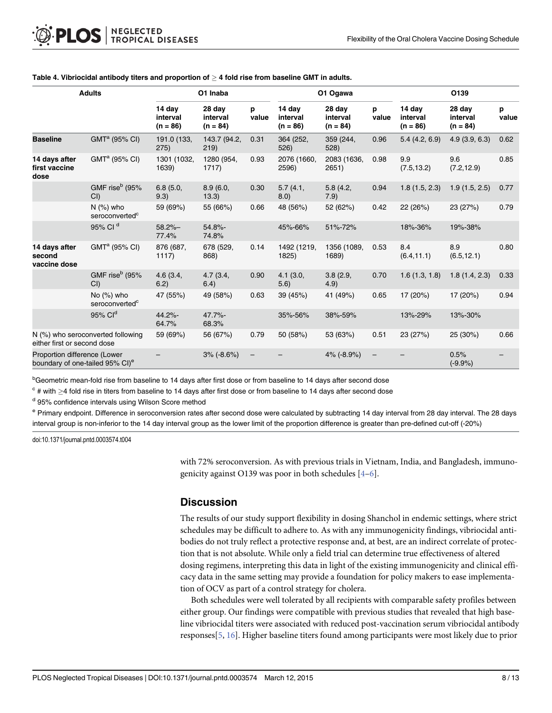| <b>Adults</b>                                                               |                                             |                                  | O1 Inaba<br>O1 Ogawa             |            |                                  |                                  | O139       |                                  |                                  |            |
|-----------------------------------------------------------------------------|---------------------------------------------|----------------------------------|----------------------------------|------------|----------------------------------|----------------------------------|------------|----------------------------------|----------------------------------|------------|
|                                                                             |                                             | 14 day<br>interval<br>$(n = 86)$ | 28 day<br>interval<br>$(n = 84)$ | p<br>value | 14 day<br>interval<br>$(n = 86)$ | 28 day<br>interval<br>$(n = 84)$ | p<br>value | 14 day<br>interval<br>$(n = 86)$ | 28 day<br>interval<br>$(n = 84)$ | р<br>value |
| <b>Baseline</b>                                                             | $GMTa$ (95% CI)                             | 191.0 (133,<br>275)              | 143.7 (94.2,<br>219)             | 0.31       | 364 (252,<br>526)                | 359 (244,<br>528)                | 0.96       | 5.4(4.2, 6.9)                    | 4.9(3.9, 6.3)                    | 0.62       |
| 14 days after<br>first vaccine<br>dose                                      | GMT <sup>a</sup> (95% CI)                   | 1301 (1032,<br>1639)             | 1280 (954,<br>1717)              | 0.93       | 2076 (1660,<br>2596)             | 2083 (1636,<br>2651)             | 0.98       | 9.9<br>(7.5, 13.2)               | 9.6<br>(7.2, 12.9)               | 0.85       |
|                                                                             | GMF rise <sup>b</sup> (95%<br>CI            | 6.8(5.0,<br>9.3)                 | 8.9(6.0,<br>13.3)                | 0.30       | 5.7(4.1,<br>8.0)                 | 5.8(4.2,<br>7.9)                 | 0.94       | 1.8(1.5, 2.3)                    | 1.9(1.5, 2.5)                    | 0.77       |
|                                                                             | $N$ (%) who<br>seroconverted <sup>c</sup>   | 59 (69%)                         | 55 (66%)                         | 0.66       | 48 (56%)                         | 52 (62%)                         | 0.42       | 22 (26%)                         | 23 (27%)                         | 0.79       |
|                                                                             | 95% Cl <sup>d</sup>                         | $58.2% -$<br>77.4%               | 54.8%-<br>74.8%                  |            | 45%-66%                          | 51%-72%                          |            | 18%-36%                          | 19%-38%                          |            |
| 14 days after<br>second<br>vaccine dose                                     | GMT <sup>a</sup> (95% CI)                   | 876 (687,<br>1117)               | 678 (529,<br>868)                | 0.14       | 1492 (1219,<br>1825)             | 1356 (1089,<br>1689)             | 0.53       | 8.4<br>(6.4, 11.1)               | 8.9<br>(6.5, 12.1)               | 0.80       |
|                                                                             | GMF rise <sup>b</sup> (95%<br>$CI$ )        | 4.6(3.4,<br>6.2)                 | 4.7(3.4,<br>6.4)                 | 0.90       | 4.1(3.0,<br>5.6)                 | 3.8(2.9,<br>4.9)                 | 0.70       | 1.6(1.3, 1.8)                    | 1.8(1.4, 2.3)                    | 0.33       |
|                                                                             | No $(\%)$ who<br>seroconverted <sup>c</sup> | 47 (55%)                         | 49 (58%)                         | 0.63       | 39 (45%)                         | 41 (49%)                         | 0.65       | 17 (20%)                         | 17 (20%)                         | 0.94       |
|                                                                             | 95% Cl <sup>d</sup>                         | 44.2%-<br>64.7%                  | 47.7%-<br>68.3%                  |            | 35%-56%                          | 38%-59%                          |            | 13%-29%                          | 13%-30%                          |            |
| either first or second dose                                                 | N (%) who seroconverted following           | 59 (69%)                         | 56 (67%)                         | 0.79       | 50 (58%)                         | 53 (63%)                         | 0.51       | 23 (27%)                         | 25 (30%)                         | 0.66       |
| Proportion difference (Lower<br>boundary of one-tailed 95% CI) <sup>e</sup> |                                             |                                  | $3% (-8.6%)$                     | -          |                                  | 4% (-8.9%)                       |            |                                  | 0.5%<br>$(-9.9%$                 |            |

#### <span id="page-7-0"></span>[Table 4.](#page-4-0) Vibriocidal antibody titers and proportion of  $\geq$  4 fold rise from baseline GMT in adults.

**bGeometric mean-fold rise from baseline to 14 days after first dose or from baseline to 14 days after second dose** 

 $c$  # with  $\geq$ 4 fold rise in titers from baseline to 14 days after first dose or from baseline to 14 days after second dose

<sup>d</sup> 95% confidence intervals using Wilson Score method

<sup>e</sup> Primary endpoint. Difference in seroconversion rates after second dose were calculated by subtracting 14 day interval from 28 day interval. The 28 days interval group is non-inferior to the 14 day interval group as the lower limit of the proportion difference is greater than pre-defined cut-off (-20%)

doi:10.1371/journal.pntd.0003574.t004

with 72% seroconversion. As with previous trials in Vietnam, India, and Bangladesh, immunogenicity against O139 was poor in both schedules  $[4-6]$  $[4-6]$  $[4-6]$ .

#### **Discussion**

The results of our study support flexibility in dosing Shanchol in endemic settings, where strict schedules may be difficult to adhere to. As with any immunogenicity findings, vibriocidal antibodies do not truly reflect a protective response and, at best, are an indirect correlate of protection that is not absolute. While only a field trial can determine true effectiveness of altered dosing regimens, interpreting this data in light of the existing immunogenicity and clinical efficacy data in the same setting may provide a foundation for policy makers to ease implementation of OCV as part of a control strategy for cholera.

Both schedules were well tolerated by all recipients with comparable safety profiles between either group. Our findings were compatible with previous studies that revealed that high baseline vibriocidal titers were associated with reduced post-vaccination serum vibriocidal antibody responses[[5,](#page-11-0) [16\]](#page-12-0). Higher baseline titers found among participants were most likely due to prior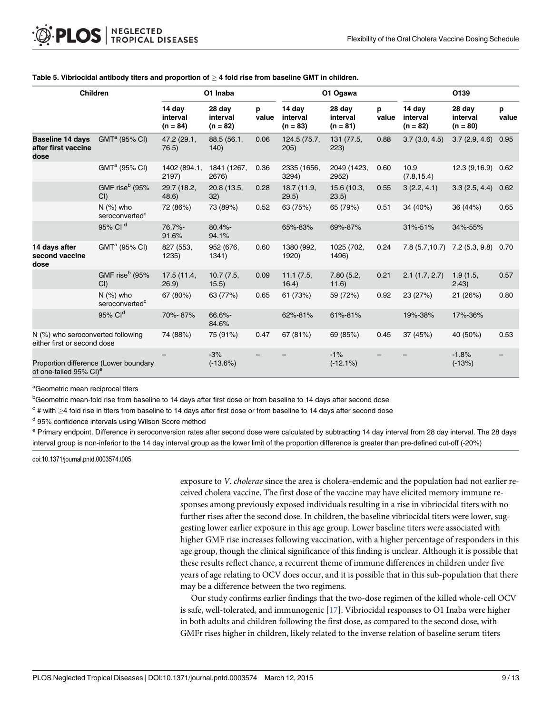| Children                                                                    |                                           | O1 Inaba                         |                                  |            | O1 Ogawa                         |                                  |            | O139                             |                                  |            |
|-----------------------------------------------------------------------------|-------------------------------------------|----------------------------------|----------------------------------|------------|----------------------------------|----------------------------------|------------|----------------------------------|----------------------------------|------------|
|                                                                             |                                           | 14 day<br>interval<br>$(n = 84)$ | 28 day<br>interval<br>$(n = 82)$ | p<br>value | 14 day<br>interval<br>$(n = 83)$ | 28 day<br>interval<br>$(n = 81)$ | p<br>value | 14 day<br>interval<br>$(n = 82)$ | 28 day<br>interval<br>$(n = 80)$ | р<br>value |
| <b>Baseline 14 days</b><br>after first vaccine<br>dose                      | GMT <sup>a</sup> (95% CI)                 | 47.2 (29.1,<br>76.5)             | 88.5 (56.1,<br>140)              | 0.06       | 124.5 (75.7,<br>205)             | 131 (77.5,<br>223)               | 0.88       | 3.7(3.0, 4.5)                    | 3.7(2.9, 4.6)                    | 0.95       |
|                                                                             | $GMTa$ (95% CI)                           | 1402 (894.1,<br>2197)            | 1841 (1267,<br>2676)             | 0.36       | 2335 (1656,<br>3294)             | 2049 (1423,<br>2952)             | 0.60       | 10.9<br>(7.8, 15.4)              | 12.3(9,16.9)                     | 0.62       |
|                                                                             | GMF rise <sup>b</sup> (95%<br>CI()        | 29.7 (18.2,<br>48.6)             | 20.8 (13.5,<br>32)               | 0.28       | 18.7 (11.9,<br>29.5)             | 15.6 (10.3,<br>23.5)             | 0.55       | 3(2.2, 4.1)                      | 3.3(2.5, 4.4)                    | 0.62       |
|                                                                             | $N$ (%) who<br>seroconverted <sup>c</sup> | 72 (86%)                         | 73 (89%)                         | 0.52       | 63 (75%)                         | 65 (79%)                         | 0.51       | 34 (40%)                         | 36 (44%)                         | 0.65       |
|                                                                             | 95% Cl <sup>d</sup>                       | 76.7%-<br>91.6%                  | 80.4%-<br>94.1%                  |            | 65%-83%                          | 69%-87%                          |            | 31%-51%                          | 34%-55%                          |            |
| 14 days after<br>second vaccine<br>dose                                     | GMT <sup>a</sup> (95% CI)                 | 827 (553,<br>1235)               | 952 (676,<br>1341)               | 0.60       | 1380 (992,<br>1920)              | 1025 (702,<br>1496)              | 0.24       | 7.8(5.7, 10.7)                   | 7.2(5.3, 9.8)                    | 0.70       |
|                                                                             | GMF rise <sup>b</sup> (95%<br>CI          | 17.5(11.4,<br>(26.9)             | 10.7(7.5,<br>15.5)               | 0.09       | 11.1(7.5,<br>16.4)               | 7.80(5.2,<br>11.6)               | 0.21       | 2.1(1.7, 2.7)                    | 1.9(1.5,<br>(2.43)               | 0.57       |
|                                                                             | $N$ (%) who<br>seroconverted <sup>c</sup> | 67 (80%)                         | 63 (77%)                         | 0.65       | 61 (73%)                         | 59 (72%)                         | 0.92       | 23 (27%)                         | 21 (26%)                         | 0.80       |
|                                                                             | 95% Cl <sup>d</sup>                       | 70%-87%                          | 66.6%-<br>84.6%                  |            | 62%-81%                          | 61%-81%                          |            | 19%-38%                          | 17%-36%                          |            |
| N (%) who seroconverted following<br>either first or second dose            |                                           | 74 (88%)                         | 75 (91%)                         | 0.47       | 67 (81%)                         | 69 (85%)                         | 0.45       | 37 (45%)                         | 40 (50%)                         | 0.53       |
| Proportion difference (Lower boundary<br>of one-tailed 95% CI) <sup>e</sup> |                                           |                                  | $-3%$<br>$(-13.6%)$              |            |                                  | $-1%$<br>$(-12.1\%)$             |            |                                  | $-1.8%$<br>$(-13%)$              |            |

#### <span id="page-8-0"></span>[Table 5.](#page-4-0) Vibriocidal antibody titers and proportion of  $\geq 4$  fold rise from baseline GMT in children.

<sup>a</sup>Geometric mean reciprocal titers

<sup>b</sup>Geometric mean-fold rise from baseline to 14 days after first dose or from baseline to 14 days after second dose

 $c$  # with  $\geq$ 4 fold rise in titers from baseline to 14 days after first dose or from baseline to 14 days after second dose

<sup>d</sup> 95% confidence intervals using Wilson Score method

e Primary endpoint. Difference in seroconversion rates after second dose were calculated by subtracting 14 day interval from 28 day interval. The 28 days interval group is non-inferior to the 14 day interval group as the lower limit of the proportion difference is greater than pre-defined cut-off (-20%)

doi:10.1371/journal.pntd.0003574.t005

exposure to V. cholerae since the area is cholera-endemic and the population had not earlier received cholera vaccine. The first dose of the vaccine may have elicited memory immune responses among previously exposed individuals resulting in a rise in vibriocidal titers with no further rises after the second dose. In children, the baseline vibriocidal titers were lower, suggesting lower earlier exposure in this age group. Lower baseline titers were associated with higher GMF rise increases following vaccination, with a higher percentage of responders in this age group, though the clinical significance of this finding is unclear. Although it is possible that these results reflect chance, a recurrent theme of immune differences in children under five years of age relating to OCV does occur, and it is possible that in this sub-population that there may be a difference between the two regimens.

Our study confirms earlier findings that the two-dose regimen of the killed whole-cell OCV is safe, well-tolerated, and immunogenic [\[17\]](#page-12-0). Vibriocidal responses to O1 Inaba were higher in both adults and children following the first dose, as compared to the second dose, with GMFr rises higher in children, likely related to the inverse relation of baseline serum titers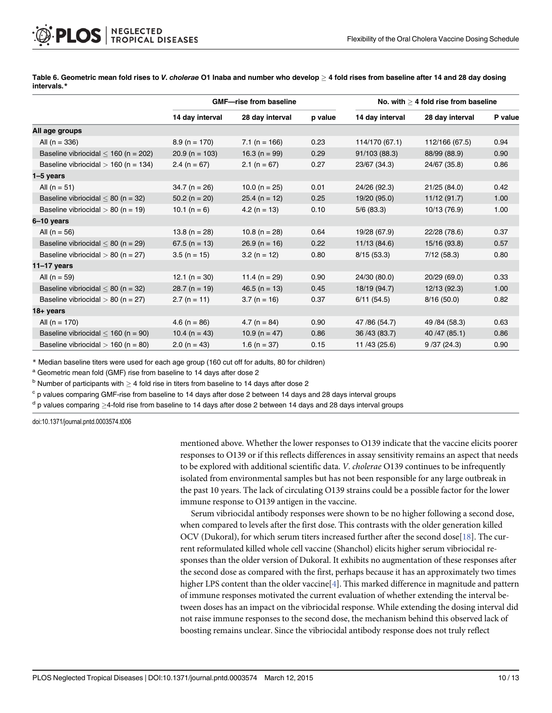|                                           |                   | <b>GMF-rise from baseline</b> |         | No. with $>$ 4 fold rise from baseline |                 |         |  |
|-------------------------------------------|-------------------|-------------------------------|---------|----------------------------------------|-----------------|---------|--|
|                                           | 14 day interval   | 28 day interval               | p value | 14 day interval                        | 28 day interval | P value |  |
| All age groups                            |                   |                               |         |                                        |                 |         |  |
| All $(n = 336)$                           | $8.9$ (n = 170)   | $7.1$ (n = 166)               | 0.23    | 114/170 (67.1)                         | 112/166 (67.5)  | 0.94    |  |
| Baseline vibriocidal $\leq$ 160 (n = 202) | $20.9$ (n = 103)  | 16.3 (n = $99$ )              | 0.29    | 91/103 (88.3)                          | 88/99 (88.9)    | 0.90    |  |
| Baseline vibriocidal $> 160$ (n = 134)    | 2.4 ( $n = 67$ )  | $2.1$ (n = 67)                | 0.27    | 23/67 (34.3)                           | 24/67 (35.8)    | 0.86    |  |
| 1-5 years                                 |                   |                               |         |                                        |                 |         |  |
| All $(n = 51)$                            | $34.7 (n = 26)$   | 10.0 ( $n = 25$ )             | 0.01    | 24/26 (92.3)                           | 21/25 (84.0)    | 0.42    |  |
| Baseline vibriocidal $< 80$ (n = 32)      | $50.2$ (n = 20)   | $25.4$ (n = 12)               | 0.25    | 19/20 (95.0)                           | 11/12(91.7)     | 1.00    |  |
| Baseline vibriocidal $> 80$ (n = 19)      | 10.1 ( $n = 6$ )  | $4.2(n = 13)$                 | 0.10    | 5/6(83.3)                              | 10/13 (76.9)    | 1.00    |  |
| 6-10 years                                |                   |                               |         |                                        |                 |         |  |
| All ( $n = 56$ )                          | $13.8(n = 28)$    | 10.8 (n = 28)                 | 0.64    | 19/28 (67.9)                           | 22/28 (78.6)    | 0.37    |  |
| Baseline vibriocidal $\leq 80$ (n = 29)   | $67.5$ (n = 13)   | $26.9$ (n = 16)               | 0.22    | 11/13 (84.6)                           | 15/16 (93.8)    | 0.57    |  |
| Baseline vibriocidal $> 80$ (n = 27)      | $3.5(n = 15)$     | $3.2(n = 12)$                 | 0.80    | 8/15(53.3)                             | 7/12(58.3)      | 0.80    |  |
| $11-17$ years                             |                   |                               |         |                                        |                 |         |  |
| All $(n = 59)$                            | 12.1 ( $n = 30$ ) | 11.4 ( $n = 29$ )             | 0.90    | 24/30 (80.0)                           | 20/29 (69.0)    | 0.33    |  |
| Baseline vibriocidal $< 80$ (n = 32)      | $28.7$ (n = 19)   | $46.5$ (n = 13)               | 0.45    | 18/19 (94.7)                           | 12/13 (92.3)    | 1.00    |  |
| Baseline vibriocidal $> 80$ (n = 27)      | $2.7(n = 11)$     | $3.7(n = 16)$                 | 0.37    | 6/11(54.5)                             | 8/16(50.0)      | 0.82    |  |
| 18+ years                                 |                   |                               |         |                                        |                 |         |  |
| All ( $n = 170$ )                         | 4.6 (n = $86$ )   | 4.7 ( $n = 84$ )              | 0.90    | 47 / 86 (54.7)                         | 49 / 84 (58.3)  | 0.63    |  |
| Baseline vibriocidal $\leq$ 160 (n = 90)  | 10.4 (n = 43)     | 10.9 ( $n = 47$ )             | 0.86    | 36 / 43 (83.7)                         | 40 / 47 (85.1)  | 0.86    |  |
| Baseline vibriocidal $> 160$ (n = 80)     | $2.0(n = 43)$     | 1.6 (n = $37$ )               | 0.15    | 11/43 (25.6)                           | 9/37(24.3)      | 0.90    |  |

<span id="page-9-0"></span>[Table 6.](#page-6-0) Geometric mean fold rises to V. cholerae O1 Inaba and number who develop  $\geq$  4 fold rises from baseline after 14 and 28 day dosing intervals.\*

\* Median baseline titers were used for each age group (160 cut off for adults, 80 for children)

<sup>a</sup> Geometric mean fold (GMF) rise from baseline to 14 days after dose 2

 $b$  Number of participants with  $> 4$  fold rise in titers from baseline to 14 days after dose 2

 $c$  p values comparing GMF-rise from baseline to 14 days after dose 2 between 14 days and 28 days interval groups

 $d$  p values comparing  $\geq$ 4-fold rise from baseline to 14 days after dose 2 between 14 days and 28 days interval groups

doi:10.1371/journal.pntd.0003574.t006

mentioned above. Whether the lower responses to O139 indicate that the vaccine elicits poorer responses to O139 or if this reflects differences in assay sensitivity remains an aspect that needs to be explored with additional scientific data. V. cholerae O139 continues to be infrequently isolated from environmental samples but has not been responsible for any large outbreak in the past 10 years. The lack of circulating O139 strains could be a possible factor for the lower immune response to O139 antigen in the vaccine.

Serum vibriocidal antibody responses were shown to be no higher following a second dose, when compared to levels after the first dose. This contrasts with the older generation killed OCV (Dukoral), for which serum titers increased further after the second dose[[18\]](#page-12-0). The current reformulated killed whole cell vaccine (Shanchol) elicits higher serum vibriocidal responses than the older version of Dukoral. It exhibits no augmentation of these responses after the second dose as compared with the first, perhaps because it has an approximately two times higher LPS content than the older vaccine<sup>[\[4](#page-11-0)]</sup>. This marked difference in magnitude and pattern of immune responses motivated the current evaluation of whether extending the interval between doses has an impact on the vibriocidal response. While extending the dosing interval did not raise immune responses to the second dose, the mechanism behind this observed lack of boosting remains unclear. Since the vibriocidal antibody response does not truly reflect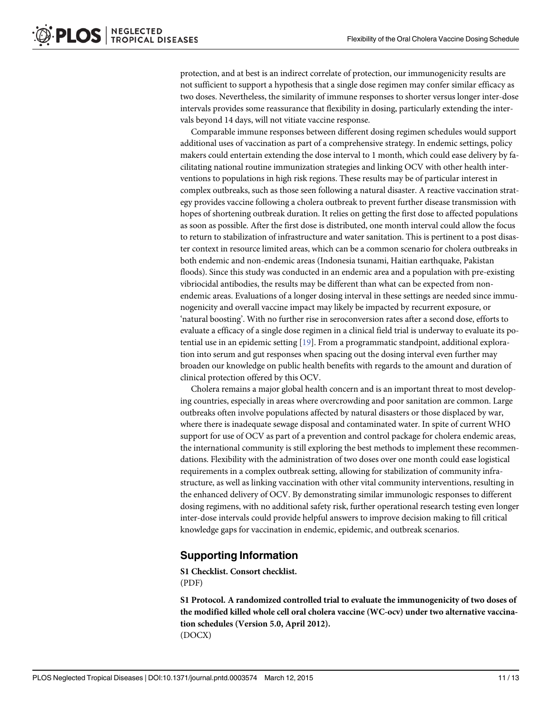<span id="page-10-0"></span>protection, and at best is an indirect correlate of protection, our immunogenicity results are not sufficient to support a hypothesis that a single dose regimen may confer similar efficacy as two doses. Nevertheless, the similarity of immune responses to shorter versus longer inter-dose intervals provides some reassurance that flexibility in dosing, particularly extending the intervals beyond 14 days, will not vitiate vaccine response.

Comparable immune responses between different dosing regimen schedules would support additional uses of vaccination as part of a comprehensive strategy. In endemic settings, policy makers could entertain extending the dose interval to 1 month, which could ease delivery by facilitating national routine immunization strategies and linking OCV with other health interventions to populations in high risk regions. These results may be of particular interest in complex outbreaks, such as those seen following a natural disaster. A reactive vaccination strategy provides vaccine following a cholera outbreak to prevent further disease transmission with hopes of shortening outbreak duration. It relies on getting the first dose to affected populations as soon as possible. After the first dose is distributed, one month interval could allow the focus to return to stabilization of infrastructure and water sanitation. This is pertinent to a post disaster context in resource limited areas, which can be a common scenario for cholera outbreaks in both endemic and non-endemic areas (Indonesia tsunami, Haitian earthquake, Pakistan floods). Since this study was conducted in an endemic area and a population with pre-existing vibriocidal antibodies, the results may be different than what can be expected from nonendemic areas. Evaluations of a longer dosing interval in these settings are needed since immunogenicity and overall vaccine impact may likely be impacted by recurrent exposure, or 'natural boosting'. With no further rise in seroconversion rates after a second dose, efforts to evaluate a efficacy of a single dose regimen in a clinical field trial is underway to evaluate its potential use in an epidemic setting [\[19\]](#page-12-0). From a programmatic standpoint, additional exploration into serum and gut responses when spacing out the dosing interval even further may broaden our knowledge on public health benefits with regards to the amount and duration of clinical protection offered by this OCV.

Cholera remains a major global health concern and is an important threat to most developing countries, especially in areas where overcrowding and poor sanitation are common. Large outbreaks often involve populations affected by natural disasters or those displaced by war, where there is inadequate sewage disposal and contaminated water. In spite of current WHO support for use of OCV as part of a prevention and control package for cholera endemic areas, the international community is still exploring the best methods to implement these recommendations. Flexibility with the administration of two doses over one month could ease logistical requirements in a complex outbreak setting, allowing for stabilization of community infrastructure, as well as linking vaccination with other vital community interventions, resulting in the enhanced delivery of OCV. By demonstrating similar immunologic responses to different dosing regimens, with no additional safety risk, further operational research testing even longer inter-dose intervals could provide helpful answers to improve decision making to fill critical knowledge gaps for vaccination in endemic, epidemic, and outbreak scenarios.

# Supporting Information

[S1 Checklist.](http://www.plosone.org/article/fetchSingleRepresentation.action?uri=info:doi/10.1371/journal.pntd.0003574.s001) Consort checklist. (PDF)

[S1 Protocol.](http://www.plosone.org/article/fetchSingleRepresentation.action?uri=info:doi/10.1371/journal.pntd.0003574.s002) A randomized controlled trial to evaluate the immunogenicity of two doses of the modified killed whole cell oral cholera vaccine (WC-ocv) under two alternative vaccination schedules (Version 5.0, April 2012). (DOCX)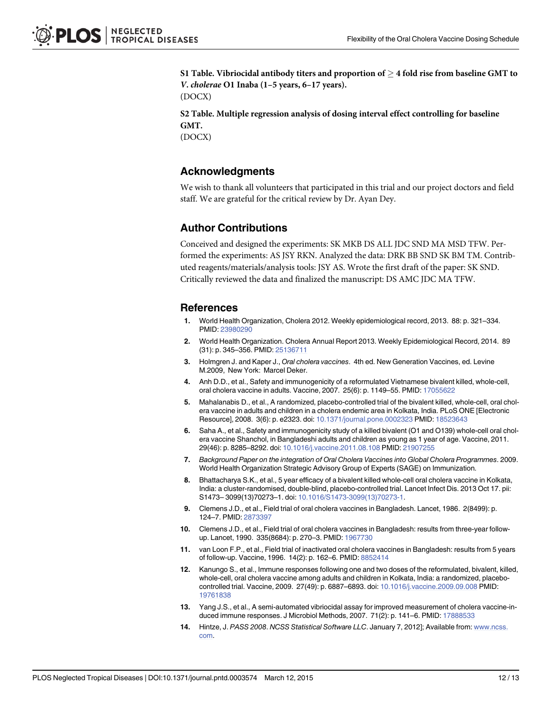<span id="page-11-0"></span>[S1 Table](http://www.plosone.org/article/fetchSingleRepresentation.action?uri=info:doi/10.1371/journal.pntd.0003574.s003). Vibriocidal antibody titers and proportion of  $\geq$  4 fold rise from baseline GMT to V. cholerae O1 Inaba (1–5 years, 6–17 years). (DOCX)

[S2 Table](http://www.plosone.org/article/fetchSingleRepresentation.action?uri=info:doi/10.1371/journal.pntd.0003574.s004). Multiple regression analysis of dosing interval effect controlling for baseline GMT.

(DOCX)

#### Acknowledgments

We wish to thank all volunteers that participated in this trial and our project doctors and field staff. We are grateful for the critical review by Dr. Ayan Dey.

#### Author Contributions

Conceived and designed the experiments: SK MKB DS ALL JDC SND MA MSD TFW. Performed the experiments: AS JSY RKN. Analyzed the data: DRK BB SND SK BM TM. Contributed reagents/materials/analysis tools: JSY AS. Wrote the first draft of the paper: SK SND. Critically reviewed the data and finalized the manuscript: DS AMC JDC MA TFW.

#### References

- [1.](#page-1-0) World Health Organization, Cholera 2012. Weekly epidemiological record, 2013. 88: p. 321–334. PMID: [23980290](http://www.ncbi.nlm.nih.gov/pubmed/23980290)
- [2.](#page-1-0) World Health Organization. Cholera Annual Report 2013. Weekly Epidemiological Record, 2014. 89 (31): p. 345–356. PMID: [25136711](http://www.ncbi.nlm.nih.gov/pubmed/25136711)
- [3.](#page-2-0) Holmgren J. and Kaper J., Oral cholera vaccines. 4th ed. New Generation Vaccines, ed. Levine M.2009, New York: Marcel Deker.
- [4.](#page-2-0) Anh D.D., et al., Safety and immunogenicity of a reformulated Vietnamese bivalent killed, whole-cell, oral cholera vaccine in adults. Vaccine, 2007. 25(6): p. 1149–55. PMID: [17055622](http://www.ncbi.nlm.nih.gov/pubmed/17055622)
- [5.](#page-4-0) Mahalanabis D., et al., A randomized, placebo-controlled trial of the bivalent killed, whole-cell, oral cholera vaccine in adults and children in a cholera endemic area in Kolkata, India. PLoS ONE [Electronic Resource], 2008. 3(6): p. e2323. doi: [10.1371/journal.pone.0002323](http://dx.doi.org/10.1371/journal.pone.0002323) PMID: [18523643](http://www.ncbi.nlm.nih.gov/pubmed/18523643)
- [6.](#page-2-0) Saha A., et al., Safety and immunogenicity study of a killed bivalent (O1 and O139) whole-cell oral cholera vaccine Shanchol, in Bangladeshi adults and children as young as 1 year of age. Vaccine, 2011. 29(46): p. 8285–8292. doi: [10.1016/j.vaccine.2011.08.108](http://dx.doi.org/10.1016/j.vaccine.2011.08.108) PMID: [21907255](http://www.ncbi.nlm.nih.gov/pubmed/21907255)
- [7.](#page-2-0) Background Paper on the integration of Oral Cholera Vaccines into Global Cholera Programmes. 2009. World Health Organization Strategic Advisory Group of Experts (SAGE) on Immunization.
- [8.](#page-2-0) Bhattacharya S.K., et al., 5 year efficacy of a bivalent killed whole-cell oral cholera vaccine in Kolkata, India: a cluster-randomised, double-blind, placebo-controlled trial. Lancet Infect Dis. 2013 Oct 17. pii: S1473– 3099(13)70273–1. doi: [10.1016/S1473-3099\(13\)70273-1.](http://dx.doi.org/10.1016/S1473-3099(13)70273-1)
- [9.](#page-2-0) Clemens J.D., et al., Field trial of oral cholera vaccines in Bangladesh. Lancet, 1986. 2(8499): p. 124–7. PMID: [2873397](http://www.ncbi.nlm.nih.gov/pubmed/2873397)
- 10. Clemens J.D., et al., Field trial of oral cholera vaccines in Bangladesh: results from three-year follow-up. Lancet, 1990. 335(8684): p. 270-3. PMID: [1967730](http://www.ncbi.nlm.nih.gov/pubmed/1967730)
- [11.](#page-2-0) van Loon F.P., et al., Field trial of inactivated oral cholera vaccines in Bangladesh: results from 5 years of follow-up. Vaccine, 1996. 14(2): p. 162–6. PMID: [8852414](http://www.ncbi.nlm.nih.gov/pubmed/8852414)
- [12.](#page-2-0) Kanungo S., et al., Immune responses following one and two doses of the reformulated, bivalent, killed, whole-cell, oral cholera vaccine among adults and children in Kolkata, India: a randomized, placebocontrolled trial. Vaccine, 2009. 27(49): p. 6887–6893. doi: [10.1016/j.vaccine.2009.09.008](http://dx.doi.org/10.1016/j.vaccine.2009.09.008) PMID: [19761838](http://www.ncbi.nlm.nih.gov/pubmed/19761838)
- [13.](#page-3-0) Yang J.S., et al., A semi-automated vibriocidal assay for improved measurement of cholera vaccine-induced immune responses. J Microbiol Methods, 2007. 71(2): p. 141–6. PMID: [17888533](http://www.ncbi.nlm.nih.gov/pubmed/17888533)
- [14.](#page-4-0) Hintze, J. PASS 2008. NCSS Statistical Software LLC. January 7, 2012]; Available from: [www.ncss.](http://www.ncss.com) [com.](http://www.ncss.com)